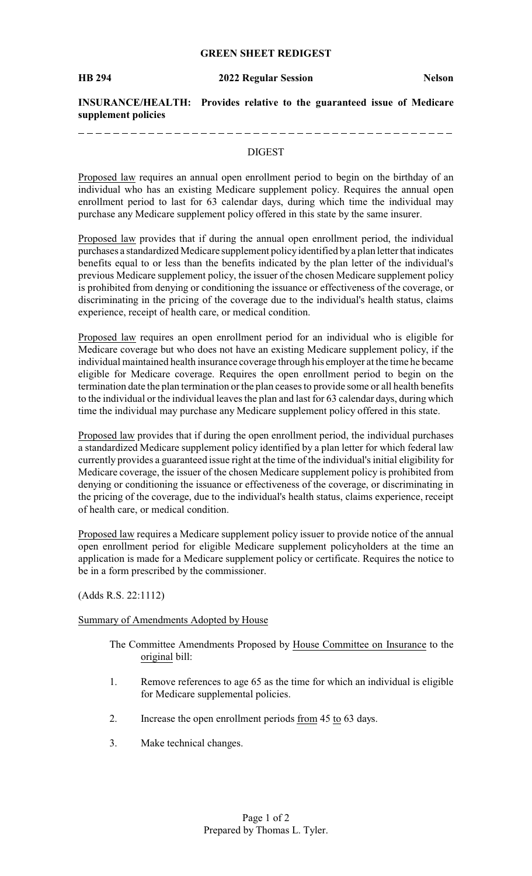## **GREEN SHEET REDIGEST**

\_\_\_\_\_\_\_\_\_\_\_\_\_\_\_\_

**INSURANCE/HEALTH: Provides relative to the guaranteed issue of Medicare supplement policies**

---------------------------

#### DIGEST

Proposed law requires an annual open enrollment period to begin on the birthday of an individual who has an existing Medicare supplement policy. Requires the annual open enrollment period to last for 63 calendar days, during which time the individual may purchase any Medicare supplement policy offered in this state by the same insurer.

Proposed law provides that if during the annual open enrollment period, the individual purchases a standardized Medicare supplement policyidentified bya plan letter that indicates benefits equal to or less than the benefits indicated by the plan letter of the individual's previous Medicare supplement policy, the issuer of the chosen Medicare supplement policy is prohibited from denying or conditioning the issuance or effectiveness of the coverage, or discriminating in the pricing of the coverage due to the individual's health status, claims experience, receipt of health care, or medical condition.

Proposed law requires an open enrollment period for an individual who is eligible for Medicare coverage but who does not have an existing Medicare supplement policy, if the individual maintained health insurance coverage through his employer at the time he became eligible for Medicare coverage. Requires the open enrollment period to begin on the termination date the plan termination or the plan ceases to provide some or all health benefits to the individual or the individual leaves the plan and last for 63 calendar days, during which time the individual may purchase any Medicare supplement policy offered in this state.

Proposed law provides that if during the open enrollment period, the individual purchases a standardized Medicare supplement policy identified by a plan letter for which federal law currently provides a guaranteed issue right at the time of the individual's initial eligibility for Medicare coverage, the issuer of the chosen Medicare supplement policy is prohibited from denying or conditioning the issuance or effectiveness of the coverage, or discriminating in the pricing of the coverage, due to the individual's health status, claims experience, receipt of health care, or medical condition.

Proposed law requires a Medicare supplement policy issuer to provide notice of the annual open enrollment period for eligible Medicare supplement policyholders at the time an application is made for a Medicare supplement policy or certificate. Requires the notice to be in a form prescribed by the commissioner.

(Adds R.S. 22:1112)

### Summary of Amendments Adopted by House

- The Committee Amendments Proposed by House Committee on Insurance to the original bill:
- 1. Remove references to age 65 as the time for which an individual is eligible for Medicare supplemental policies.
- 2. Increase the open enrollment periods from 45 to 63 days.
- 3. Make technical changes.